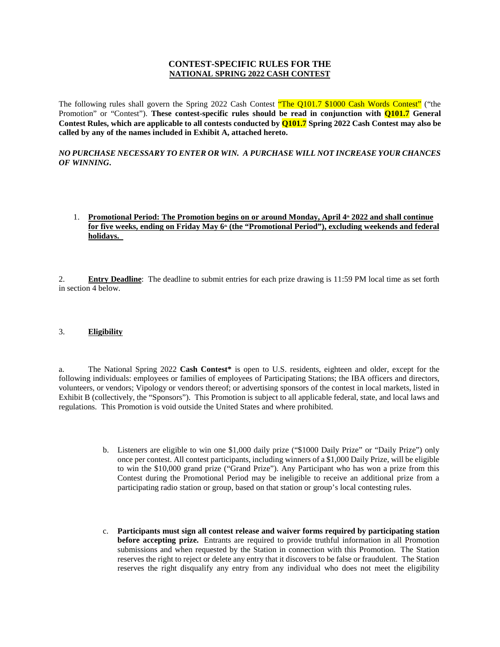# **CONTEST-SPECIFIC RULES FOR THE NATIONAL SPRING 2022 CASH CONTEST**

The following rules shall govern the Spring 2022 Cash Contest "The Q101.7 \$1000 Cash Words Contest" ("the Promotion" or "Contest"). **These contest-specific rules should be read in conjunction with Q101.7 General Contest Rules, which are applicable to all contests conducted by Q101.7 Spring 2022 Cash Contest may also be called by any of the names included in Exhibit A, attached hereto.** 

### *NO PURCHASE NECESSARY TO ENTER OR WIN. A PURCHASE WILL NOT INCREASE YOUR CHANCES OF WINNING***.**

# 1. **Promotional Period: The Promotion begins on or around Monday, April 4th 2022 and shall continue for five weeks, ending on Friday May 6th (the "Promotional Period"), excluding weekends and federal holidays.**

2. **Entry Deadline**: The deadline to submit entries for each prize drawing is 11:59 PM local time as set forth in section 4 below.

# 3. **Eligibility**

a. The National Spring 2022 **Cash Contest\*** is open to U.S. residents, eighteen and older, except for the following individuals: employees or families of employees of Participating Stations; the IBA officers and directors, volunteers, or vendors; Vipology or vendors thereof; or advertising sponsors of the contest in local markets, listed in Exhibit B (collectively, the "Sponsors"). This Promotion is subject to all applicable federal, state, and local laws and regulations. This Promotion is void outside the United States and where prohibited.

- b. Listeners are eligible to win one \$1,000 daily prize ("\$1000 Daily Prize" or "Daily Prize") only once per contest. All contest participants, including winners of a \$1,000 Daily Prize, will be eligible to win the \$10,000 grand prize ("Grand Prize"). Any Participant who has won a prize from this Contest during the Promotional Period may be ineligible to receive an additional prize from a participating radio station or group, based on that station or group's local contesting rules.
- c. **Participants must sign all contest release and waiver forms required by participating station before accepting prize.** Entrants are required to provide truthful information in all Promotion submissions and when requested by the Station in connection with this Promotion. The Station reserves the right to reject or delete any entry that it discovers to be false or fraudulent. The Station reserves the right disqualify any entry from any individual who does not meet the eligibility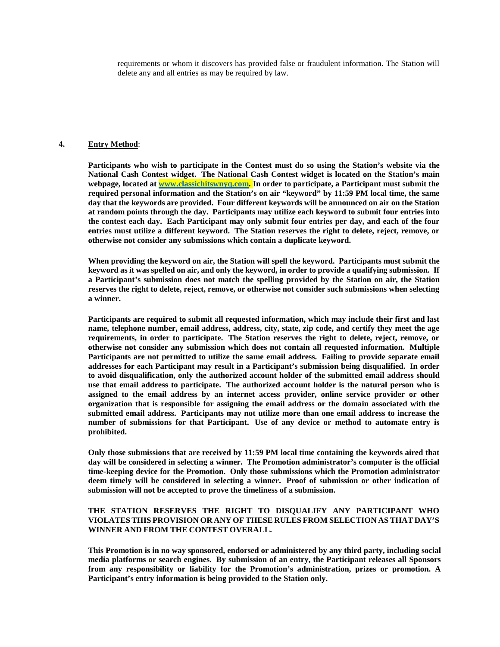requirements or whom it discovers has provided false or fraudulent information. The Station will delete any and all entries as may be required by law.

#### **4. Entry Method**:

**Participants who wish to participate in the Contest must do so using the Station's website via the National Cash Contest widget. The National Cash Contest widget is located on the Station's main webpage, located at [www.classichitswnyq.com.](http://www.classichitswnyq.com) In order to participate, a Participant must submit the required personal information and the Station's on air "keyword" by 11:59 PM local time, the same day that the keywords are provided. Four different keywords will be announced on air on the Station at random points through the day. Participants may utilize each keyword to submit four entries into the contest each day. Each Participant may only submit four entries per day, and each of the four entries must utilize a different keyword. The Station reserves the right to delete, reject, remove, or otherwise not consider any submissions which contain a duplicate keyword.** 

**When providing the keyword on air, the Station will spell the keyword. Participants must submit the**  keyword as it was spelled on air, and only the keyword, in order to provide a qualifying submission. If **a Participant's submission does not match the spelling provided by the Station on air, the Station reserves the right to delete, reject, remove, or otherwise not consider such submissions when selecting a winner.** 

**Participants are required to submit all requested information, which may include their first and last name, telephone number, email address, address, city, state, zip code, and certify they meet the age requirements, in order to participate. The Station reserves the right to delete, reject, remove, or otherwise not consider any submission which does not contain all requested information. Multiple Participants are not permitted to utilize the same email address. Failing to provide separate email addresses for each Participant may result in a Participant's submission being disqualified. In order to avoid disqualification, only the authorized account holder of the submitted email address should use that email address to participate. The authorized account holder is the natural person who is assigned to the email address by an internet access provider, online service provider or other organization that is responsible for assigning the email address or the domain associated with the submitted email address. Participants may not utilize more than one email address to increase the number of submissions for that Participant. Use of any device or method to automate entry is prohibited.** 

**Only those submissions that are received by 11:59 PM local time containing the keywords aired that day will be considered in selecting a winner. The Promotion administrator's computer is the official time-keeping device for the Promotion. Only those submissions which the Promotion administrator deem timely will be considered in selecting a winner. Proof of submission or other indication of submission will not be accepted to prove the timeliness of a submission.** 

### **THE STATION RESERVES THE RIGHT TO DISQUALIFY ANY PARTICIPANT WHO VIOLATES THIS PROVISION OR ANY OF THESE RULES FROM SELECTION AS THAT DAY'S WINNER AND FROM THE CONTEST OVERALL.**

**This Promotion is in no way sponsored, endorsed or administered by any third party, including social media platforms or search engines. By submission of an entry, the Participant releases all Sponsors from any responsibility or liability for the Promotion's administration, prizes or promotion. A Participant's entry information is being provided to the Station only.**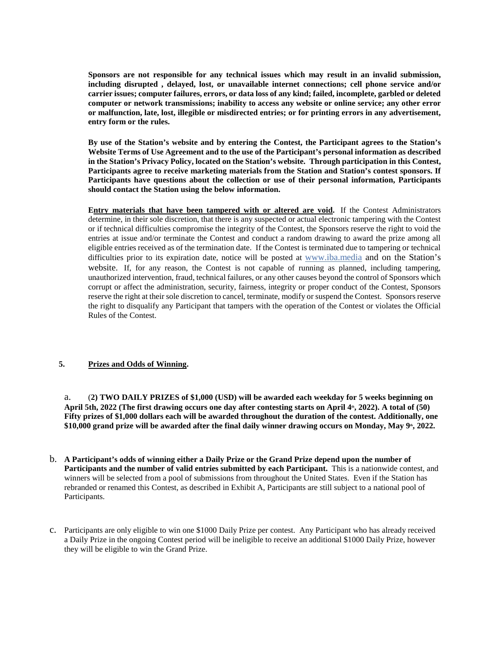**Sponsors are not responsible for any technical issues which may result in an invalid submission, including disrupted , delayed, lost, or unavailable internet connections; cell phone service and/or carrier issues; computer failures, errors, or data loss of any kind; failed, incomplete, garbled or deleted computer or network transmissions; inability to access any website or online service; any other error or malfunction, late, lost, illegible or misdirected entries; or for printing errors in any advertisement, entry form or the rules.** 

**By use of the Station's website and by entering the Contest, the Participant agrees to the Station's Website Terms of Use Agreement and to the use of the Participant's personal information as described in the Station's Privacy Policy, located on the Station's website. Through participation in this Contest, Participants agree to receive marketing materials from the Station and Station's contest sponsors. If Participants have questions about the collection or use of their personal information, Participants should contact the Station using the below information.** 

**Entry materials that have been tampered with or altered are void.** If the Contest Administrators determine, in their sole discretion, that there is any suspected or actual electronic tampering with the Contest or if technical difficulties compromise the integrity of the Contest, the Sponsors reserve the right to void the entries at issue and/or terminate the Contest and conduct a random drawing to award the prize among all eligible entries received as of the termination date. If the Contest is terminated due to tampering or technical difficulties prior to its expiration date, notice will be posted at [www.iba.media](http://www.iba.media) and on the Station's website. If, for any reason, the Contest is not capable of running as planned, including tampering, unauthorized intervention, fraud, technical failures, or any other causes beyond the control of Sponsors which corrupt or affect the administration, security, fairness, integrity or proper conduct of the Contest, Sponsors reserve the right at their sole discretion to cancel, terminate, modify or suspend the Contest. Sponsors reserve the right to disqualify any Participant that tampers with the operation of the Contest or violates the Official Rules of the Contest.

# **5. Prizes and Odds of Winning.**

a. (**2) TWO DAILY PRIZES of \$1,000 (USD) will be awarded each weekday for 5 weeks beginning on April 5th, 2022 (The first drawing occurs one day after contesting starts on April 4th , 2022). A total of (50) Fifty prizes of \$1,000 dollars each will be awarded throughout the duration of the contest. Additionally, one \$10,000 grand prize will be awarded after the final daily winner drawing occurs on Monday, May 9th , 2022.** 

- b. **A Participant's odds of winning either a Daily Prize or the Grand Prize depend upon the number of Participants and the number of valid entries submitted by each Participant.** This is a nationwide contest, and winners will be selected from a pool of submissions from throughout the United States. Even if the Station has rebranded or renamed this Contest, as described in Exhibit A, Participants are still subject to a national pool of Participants.
- c. Participants are only eligible to win one \$1000 Daily Prize per contest. Any Participant who has already received a Daily Prize in the ongoing Contest period will be ineligible to receive an additional \$1000 Daily Prize, however they will be eligible to win the Grand Prize.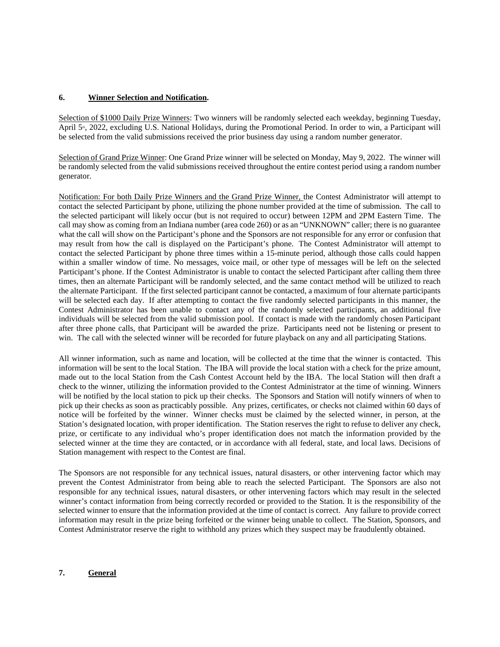### **6. Winner Selection and Notification.**

Selection of \$1000 Daily Prize Winners: Two winners will be randomly selected each weekday, beginning Tuesday, April 5<sup>th</sup>, 2022, excluding U.S. National Holidays, during the Promotional Period. In order to win, a Participant will be selected from the valid submissions received the prior business day using a random number generator.

Selection of Grand Prize Winner: One Grand Prize winner will be selected on Monday, May 9, 2022. The winner will be randomly selected from the valid submissions received throughout the entire contest period using a random number generator.

Notification: For both Daily Prize Winners and the Grand Prize Winner, the Contest Administrator will attempt to contact the selected Participant by phone, utilizing the phone number provided at the time of submission. The call to the selected participant will likely occur (but is not required to occur) between 12PM and 2PM Eastern Time. The call may show as coming from an Indiana number (area code 260) or as an "UNKNOWN" caller; there is no guarantee what the call will show on the Participant's phone and the Sponsors are not responsible for any error or confusion that may result from how the call is displayed on the Participant's phone. The Contest Administrator will attempt to contact the selected Participant by phone three times within a 15-minute period, although those calls could happen within a smaller window of time. No messages, voice mail, or other type of messages will be left on the selected Participant's phone. If the Contest Administrator is unable to contact the selected Participant after calling them three times, then an alternate Participant will be randomly selected, and the same contact method will be utilized to reach the alternate Participant. If the first selected participant cannot be contacted, a maximum of four alternate participants will be selected each day. If after attempting to contact the five randomly selected participants in this manner, the Contest Administrator has been unable to contact any of the randomly selected participants, an additional five individuals will be selected from the valid submission pool. If contact is made with the randomly chosen Participant after three phone calls, that Participant will be awarded the prize. Participants need not be listening or present to win. The call with the selected winner will be recorded for future playback on any and all participating Stations.

All winner information, such as name and location, will be collected at the time that the winner is contacted. This information will be sent to the local Station. The IBA will provide the local station with a check for the prize amount, made out to the local Station from the Cash Contest Account held by the IBA. The local Station will then draft a check to the winner, utilizing the information provided to the Contest Administrator at the time of winning. Winners will be notified by the local station to pick up their checks. The Sponsors and Station will notify winners of when to pick up their checks as soon as practicably possible. Any prizes, certificates, or checks not claimed within 60 days of notice will be forfeited by the winner. Winner checks must be claimed by the selected winner, in person, at the Station's designated location, with proper identification. The Station reserves the right to refuse to deliver any check, prize, or certificate to any individual who's proper identification does not match the information provided by the selected winner at the time they are contacted, or in accordance with all federal, state, and local laws. Decisions of Station management with respect to the Contest are final.

The Sponsors are not responsible for any technical issues, natural disasters, or other intervening factor which may prevent the Contest Administrator from being able to reach the selected Participant. The Sponsors are also not responsible for any technical issues, natural disasters, or other intervening factors which may result in the selected winner's contact information from being correctly recorded or provided to the Station. It is the responsibility of the selected winner to ensure that the information provided at the time of contact is correct. Any failure to provide correct information may result in the prize being forfeited or the winner being unable to collect. The Station, Sponsors, and Contest Administrator reserve the right to withhold any prizes which they suspect may be fraudulently obtained.

# **7. General**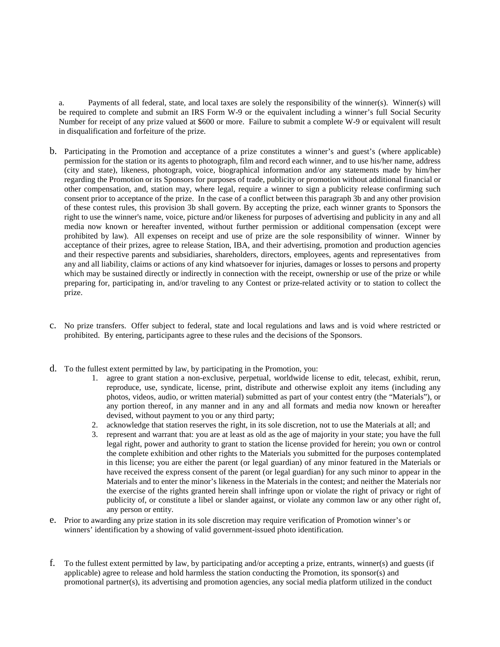a. Payments of all federal, state, and local taxes are solely the responsibility of the winner(s). Winner(s) will be required to complete and submit an IRS Form W-9 or the equivalent including a winner's full Social Security Number for receipt of any prize valued at \$600 or more. Failure to submit a complete W-9 or equivalent will result in disqualification and forfeiture of the prize.

- b. Participating in the Promotion and acceptance of a prize constitutes a winner's and guest's (where applicable) permission for the station or its agents to photograph, film and record each winner, and to use his/her name, address (city and state), likeness, photograph, voice, biographical information and/or any statements made by him/her regarding the Promotion or its Sponsors for purposes of trade, publicity or promotion without additional financial or other compensation, and, station may, where legal, require a winner to sign a publicity release confirming such consent prior to acceptance of the prize. In the case of a conflict between this paragraph 3b and any other provision of these contest rules, this provision 3b shall govern. By accepting the prize, each winner grants to Sponsors the right to use the winner's name, voice, picture and/or likeness for purposes of advertising and publicity in any and all media now known or hereafter invented, without further permission or additional compensation (except were prohibited by law). All expenses on receipt and use of prize are the sole responsibility of winner. Winner by acceptance of their prizes, agree to release Station, IBA, and their advertising, promotion and production agencies and their respective parents and subsidiaries, shareholders, directors, employees, agents and representatives from any and all liability, claims or actions of any kind whatsoever for injuries, damages or losses to persons and property which may be sustained directly or indirectly in connection with the receipt, ownership or use of the prize or while preparing for, participating in, and/or traveling to any Contest or prize-related activity or to station to collect the prize.
- c. No prize transfers. Offer subject to federal, state and local regulations and laws and is void where restricted or prohibited. By entering, participants agree to these rules and the decisions of the Sponsors.
- d. To the fullest extent permitted by law, by participating in the Promotion, you:
	- 1. agree to grant station a non-exclusive, perpetual, worldwide license to edit, telecast, exhibit, rerun, reproduce, use, syndicate, license, print, distribute and otherwise exploit any items (including any photos, videos, audio, or written material) submitted as part of your contest entry (the "Materials"), or any portion thereof, in any manner and in any and all formats and media now known or hereafter devised, without payment to you or any third party;
	- 2. acknowledge that station reserves the right, in its sole discretion, not to use the Materials at all; and
	- 3. represent and warrant that: you are at least as old as the age of majority in your state; you have the full legal right, power and authority to grant to station the license provided for herein; you own or control the complete exhibition and other rights to the Materials you submitted for the purposes contemplated in this license; you are either the parent (or legal guardian) of any minor featured in the Materials or have received the express consent of the parent (or legal guardian) for any such minor to appear in the Materials and to enter the minor's likeness in the Materials in the contest; and neither the Materials nor the exercise of the rights granted herein shall infringe upon or violate the right of privacy or right of publicity of, or constitute a libel or slander against, or violate any common law or any other right of, any person or entity.
- e. Prior to awarding any prize station in its sole discretion may require verification of Promotion winner's or winners' identification by a showing of valid government-issued photo identification.
- f. To the fullest extent permitted by law, by participating and/or accepting a prize, entrants, winner(s) and guests (if applicable) agree to release and hold harmless the station conducting the Promotion, its sponsor(s) and promotional partner(s), its advertising and promotion agencies, any social media platform utilized in the conduct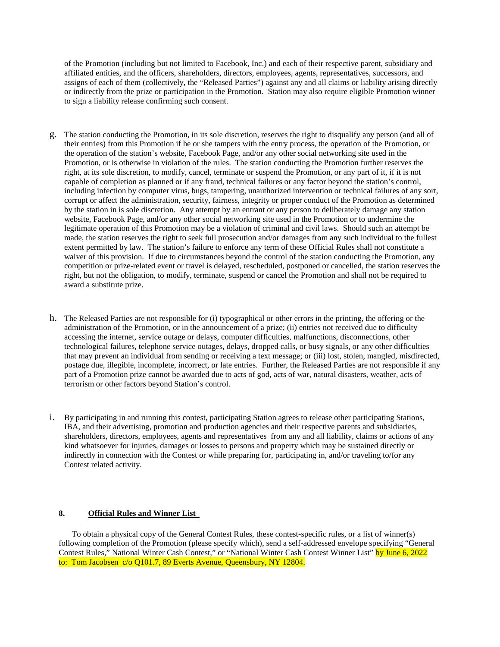of the Promotion (including but not limited to Facebook, Inc.) and each of their respective parent, subsidiary and affiliated entities, and the officers, shareholders, directors, employees, agents, representatives, successors, and assigns of each of them (collectively, the "Released Parties") against any and all claims or liability arising directly or indirectly from the prize or participation in the Promotion. Station may also require eligible Promotion winner to sign a liability release confirming such consent.

- g. The station conducting the Promotion, in its sole discretion, reserves the right to disqualify any person (and all of their entries) from this Promotion if he or she tampers with the entry process, the operation of the Promotion, or the operation of the station's website, Facebook Page, and/or any other social networking site used in the Promotion, or is otherwise in violation of the rules. The station conducting the Promotion further reserves the right, at its sole discretion, to modify, cancel, terminate or suspend the Promotion, or any part of it, if it is not capable of completion as planned or if any fraud, technical failures or any factor beyond the station's control, including infection by computer virus, bugs, tampering, unauthorized intervention or technical failures of any sort, corrupt or affect the administration, security, fairness, integrity or proper conduct of the Promotion as determined by the station in is sole discretion. Any attempt by an entrant or any person to deliberately damage any station website, Facebook Page, and/or any other social networking site used in the Promotion or to undermine the legitimate operation of this Promotion may be a violation of criminal and civil laws. Should such an attempt be made, the station reserves the right to seek full prosecution and/or damages from any such individual to the fullest extent permitted by law. The station's failure to enforce any term of these Official Rules shall not constitute a waiver of this provision. If due to circumstances beyond the control of the station conducting the Promotion, any competition or prize-related event or travel is delayed, rescheduled, postponed or cancelled, the station reserves the right, but not the obligation, to modify, terminate, suspend or cancel the Promotion and shall not be required to award a substitute prize.
- h. The Released Parties are not responsible for (i) typographical or other errors in the printing, the offering or the administration of the Promotion, or in the announcement of a prize; (ii) entries not received due to difficulty accessing the internet, service outage or delays, computer difficulties, malfunctions, disconnections, other technological failures, telephone service outages, delays, dropped calls, or busy signals, or any other difficulties that may prevent an individual from sending or receiving a text message; or (iii) lost, stolen, mangled, misdirected, postage due, illegible, incomplete, incorrect, or late entries. Further, the Released Parties are not responsible if any part of a Promotion prize cannot be awarded due to acts of god, acts of war, natural disasters, weather, acts of terrorism or other factors beyond Station's control.
- i. By participating in and running this contest, participating Station agrees to release other participating Stations, IBA, and their advertising, promotion and production agencies and their respective parents and subsidiaries, shareholders, directors, employees, agents and representatives from any and all liability, claims or actions of any kind whatsoever for injuries, damages or losses to persons and property which may be sustained directly or indirectly in connection with the Contest or while preparing for, participating in, and/or traveling to/for any Contest related activity.

#### **8. Official Rules and Winner List**

To obtain a physical copy of the General Contest Rules, these contest-specific rules, or a list of winner(s) following completion of the Promotion (please specify which), send a self-addressed envelope specifying "General Contest Rules," National Winter Cash Contest," or "National Winter Cash Contest Winner List" by June 6, 2022 to: Tom Jacobsen c/o Q101.7, 89 Everts Avenue, Queensbury, NY 12804.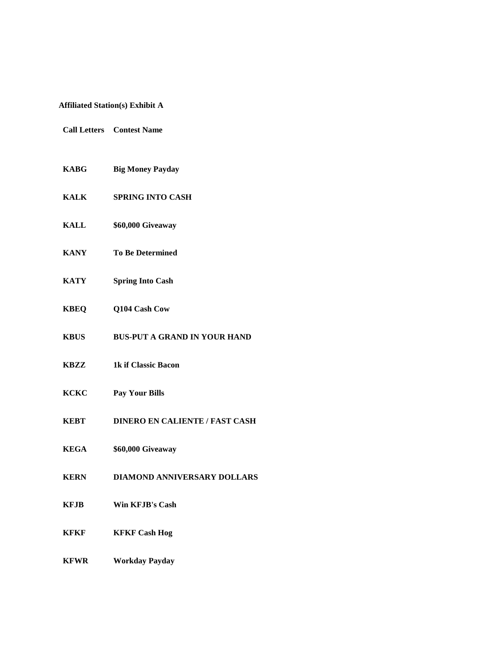# **Affiliated Station(s) Exhibit A**

- **Call Letters Contest Name**
- **KABG Big Money Payday**
- **KALK SPRING INTO CASH**
- **KALL \$60,000 Giveaway**
- **KANY To Be Determined**
- **KATY Spring Into Cash**
- **KBEQ Q104 Cash Cow**
- **KBUS BUS-PUT A GRAND IN YOUR HAND**
- **KBZZ 1k if Classic Bacon**
- **KCKC Pay Your Bills**
- **KEBT DINERO EN CALIENTE / FAST CASH**
- **KEGA \$60,000 Giveaway**
- **KERN DIAMOND ANNIVERSARY DOLLARS**
- **KFJB Win KFJB's Cash**
- **KFKF KFKF Cash Hog**
- **KFWR Workday Payday**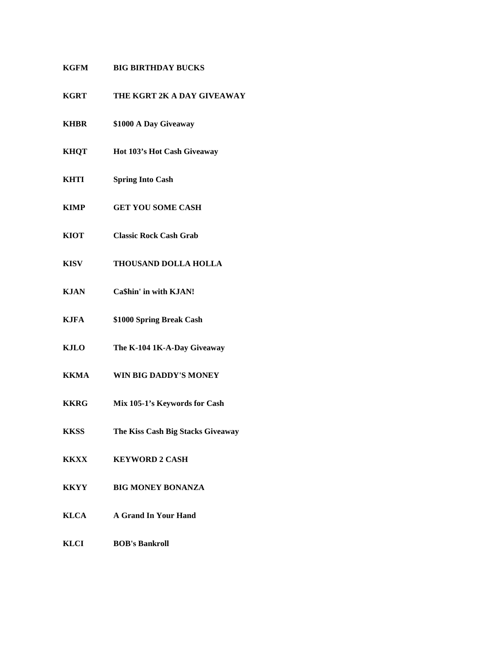# **KGFM BIG BIRTHDAY BUCKS**

- **KGRT THE KGRT 2K A DAY GIVEAWAY**
- **KHBR \$1000 A Day Giveaway**
- **KHQT Hot 103's Hot Cash Giveaway**
- **KHTI Spring Into Cash**
- **KIMP GET YOU SOME CASH**
- **KIOT Classic Rock Cash Grab**
- **KISV THOUSAND DOLLA HOLLA**
- **KJAN Ca\$hin' in with KJAN!**
- **KJFA \$1000 Spring Break Cash**
- **KJLO The K-104 1K-A-Day Giveaway**
- **KKMA WIN BIG DADDY'S MONEY**
- **KKRG Mix 105-1's Keywords for Cash**
- **KKSS The Kiss Cash Big Stacks Giveaway**
- **KKXX KEYWORD 2 CASH**
- **KKYY BIG MONEY BONANZA**
- **KLCA A Grand In Your Hand**
- **KLCI BOB's Bankroll**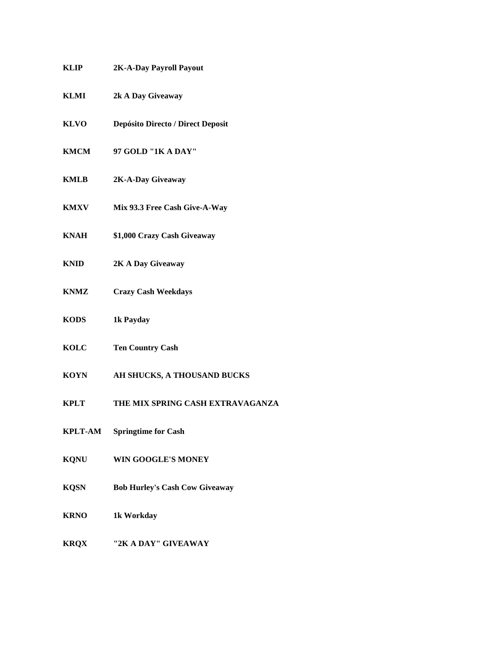| KLIP<br>2K-A-Day Payroll Payout |  |  |
|---------------------------------|--|--|
|---------------------------------|--|--|

- **KLMI 2k A Day Giveaway**
- **KLVO Depósito Directo / Direct Deposit**
- **KMCM 97 GOLD "1K A DAY"**
- **KMLB 2K-A-Day Giveaway**
- **KMXV Mix 93.3 Free Cash Give-A-Way**
- **KNAH \$1,000 Crazy Cash Giveaway**
- **KNID 2K A Day Giveaway**
- **KNMZ Crazy Cash Weekdays**
- **KODS 1k Payday**
- **KOLC Ten Country Cash**
- **KOYN AH SHUCKS, A THOUSAND BUCKS**
- **KPLT THE MIX SPRING CASH EXTRAVAGANZA**
- **KPLT-AM Springtime for Cash**
- **KQNU WIN GOOGLE'S MONEY**
- **KQSN Bob Hurley's Cash Cow Giveaway**
- **KRNO 1k Workday**
- **KRQX "2K A DAY" GIVEAWAY**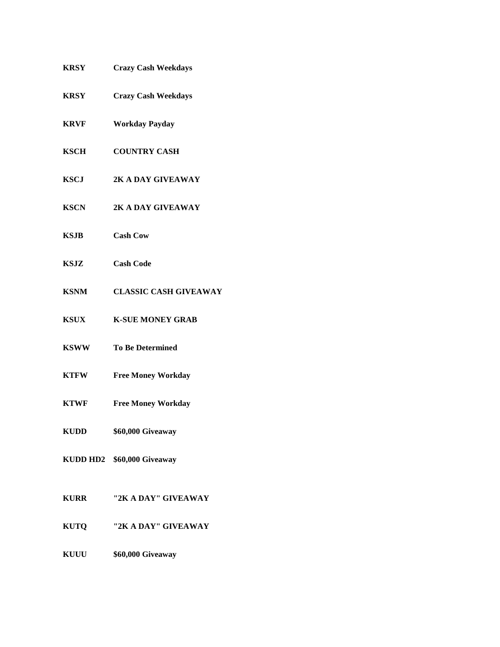| <b>KRSY</b> | <b>Crazy Cash Weekdays</b>   |
|-------------|------------------------------|
| <b>KRSY</b> | <b>Crazy Cash Weekdays</b>   |
| <b>KRVF</b> | <b>Workday Payday</b>        |
| <b>KSCH</b> | <b>COUNTRY CASH</b>          |
| <b>KSCJ</b> | 2K A DAY GIVEAWAY            |
| <b>KSCN</b> | 2K A DAY GIVEAWAY            |
| KSJB        | <b>Cash Cow</b>              |
| KSJZ        | <b>Cash Code</b>             |
| <b>KSNM</b> | <b>CLASSIC CASH GIVEAWAY</b> |
| <b>KSUX</b> | <b>K-SUE MONEY GRAB</b>      |
| <b>KSWW</b> | <b>To Be Determined</b>      |
| <b>KTFW</b> | <b>Free Money Workday</b>    |
| <b>KTWF</b> | <b>Free Money Workday</b>    |
| KUDD        | \$60,000 Giveaway            |
|             | KUDD HD2 \$60,000 Giveaway   |
| <b>KURR</b> | "2K A DAY" GIVEAWAY          |
| <b>KUTQ</b> | "2K A DAY" GIVEAWAY          |
| <b>KUUU</b> | \$60,000 Giveaway            |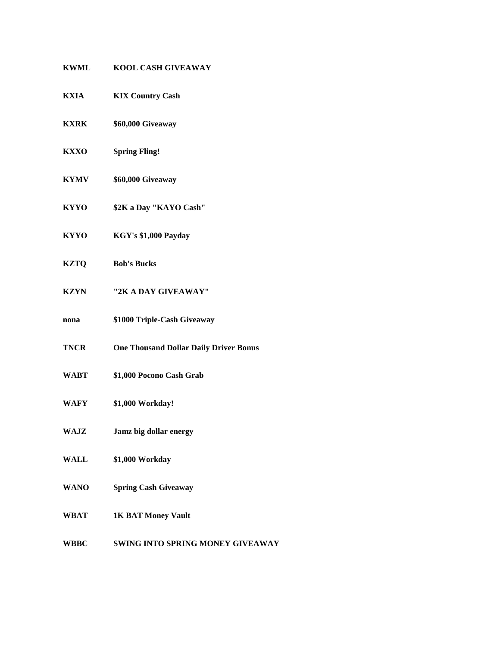| <b>KWML</b> | <b>KOOL CASH GIVEAWAY</b>                     |
|-------------|-----------------------------------------------|
| KXIA        | <b>KIX Country Cash</b>                       |
| <b>KXRK</b> | \$60,000 Giveaway                             |
| <b>KXXO</b> | <b>Spring Fling!</b>                          |
| <b>KYMV</b> | \$60,000 Giveaway                             |
| <b>KYYO</b> | \$2K a Day "KAYO Cash"                        |
| <b>KYYO</b> | KGY's \$1,000 Payday                          |
| <b>KZTQ</b> | <b>Bob's Bucks</b>                            |
| <b>KZYN</b> | "2K A DAY GIVEAWAY"                           |
| nona        | \$1000 Triple-Cash Giveaway                   |
| <b>TNCR</b> | <b>One Thousand Dollar Daily Driver Bonus</b> |
| <b>WABT</b> | \$1,000 Pocono Cash Grab                      |
| WAFY        | \$1,000 Workday!                              |
| WAJZ        | Jamz big dollar energy                        |
| <b>WALL</b> | \$1,000 Workday                               |
| <b>WANO</b> | <b>Spring Cash Giveaway</b>                   |
| WBAT        | <b>1K BAT Money Vault</b>                     |
|             |                                               |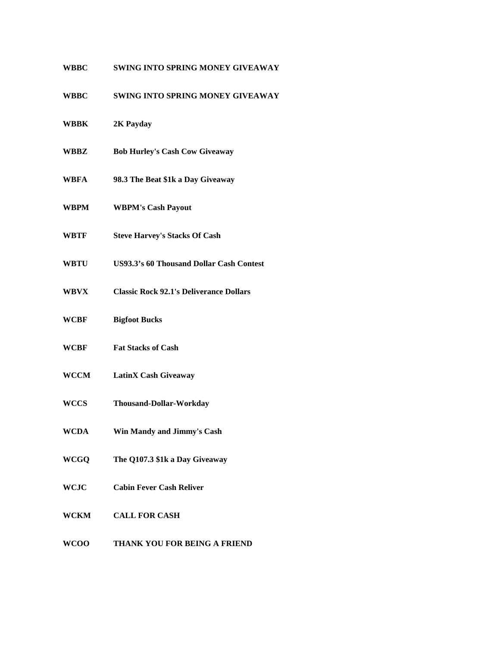| <b>WBBC</b> | <b>SWING INTO SPRING MONEY GIVEAWAY</b>         |
|-------------|-------------------------------------------------|
| <b>WBBC</b> | <b>SWING INTO SPRING MONEY GIVEAWAY</b>         |
| WBBK        | 2K Payday                                       |
| WBBZ        | <b>Bob Hurley's Cash Cow Giveaway</b>           |
| WBFA        | 98.3 The Beat \$1k a Day Giveaway               |
| WBPM        | <b>WBPM's Cash Payout</b>                       |
| WBTF        | <b>Steve Harvey's Stacks Of Cash</b>            |
| WBTU        | <b>US93.3's 60 Thousand Dollar Cash Contest</b> |
| WBVX        | <b>Classic Rock 92.1's Deliverance Dollars</b>  |
| <b>WCBF</b> | <b>Bigfoot Bucks</b>                            |
| WCBF        | <b>Fat Stacks of Cash</b>                       |
| <b>WCCM</b> | <b>LatinX Cash Giveaway</b>                     |
| <b>WCCS</b> | <b>Thousand-Dollar-Workday</b>                  |
| <b>WCDA</b> | Win Mandy and Jimmy's Cash                      |
| <b>WCGQ</b> | The Q107.3 \$1k a Day Giveaway                  |
| WCJC        | <b>Cabin Fever Cash Reliver</b>                 |
| WCKM        | <b>CALL FOR CASH</b>                            |
| WCDO        | <b>THIA NIZ VOILEOD DEINC A EDIEND</b>          |

**WCOO THANK YOU FOR BEING A FRIEND**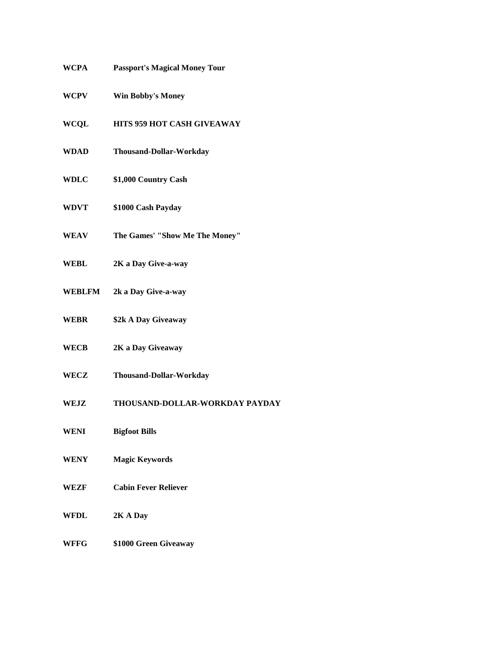| WCPA        | <b>Passport's Magical Money Tour</b> |
|-------------|--------------------------------------|
| <b>WCPV</b> | <b>Win Bobby's Money</b>             |
| WCQL        | <b>HITS 959 HOT CASH GIVEAWAY</b>    |
| WDAD        | <b>Thousand-Dollar-Workday</b>       |
| <b>WDLC</b> | \$1,000 Country Cash                 |
| <b>WDVT</b> | \$1000 Cash Payday                   |
| <b>WEAV</b> | The Games' "Show Me The Money"       |
| WEBL        | 2K a Day Give-a-way                  |
| WEBLFM      | 2k a Day Give-a-way                  |
| WEBR        | \$2k A Day Giveaway                  |
| WECB        | 2K a Day Giveaway                    |
| WECZ        | <b>Thousand-Dollar-Workday</b>       |
| <b>WEJZ</b> | THOUSAND-DOLLAR-WORKDAY PAYDAY       |
| <b>WENI</b> | <b>Bigfoot Bills</b>                 |
| WENY        | <b>Magic Keywords</b>                |
| WEZF        | <b>Cabin Fever Reliever</b>          |
| WFDL        | 2K A Day                             |
| WFFG        | \$1000 Green Giveaway                |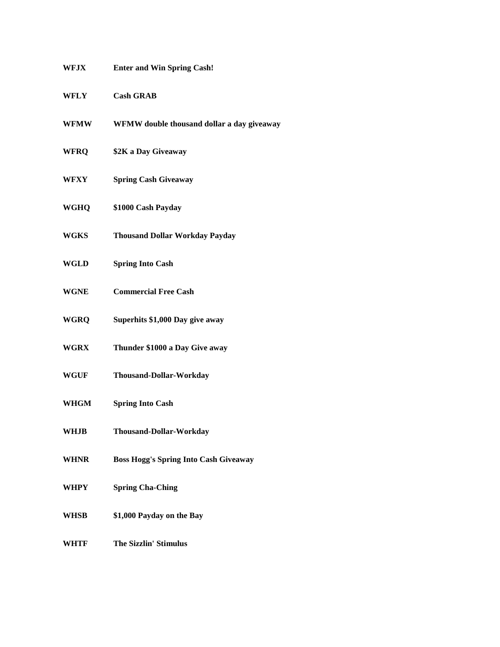| WFJX        | <b>Enter and Win Spring Cash!</b>            |
|-------------|----------------------------------------------|
| <b>WFLY</b> | <b>Cash GRAB</b>                             |
| <b>WFMW</b> | WFMW double thousand dollar a day giveaway   |
| <b>WFRQ</b> | \$2K a Day Giveaway                          |
| WFXY        | <b>Spring Cash Giveaway</b>                  |
| WGHQ        | \$1000 Cash Payday                           |
| WGKS        | <b>Thousand Dollar Workday Payday</b>        |
| WGLD        | <b>Spring Into Cash</b>                      |
| <b>WGNE</b> | <b>Commercial Free Cash</b>                  |
| <b>WGRQ</b> | Superhits \$1,000 Day give away              |
| <b>WGRX</b> | Thunder \$1000 a Day Give away               |
| WGUF        | <b>Thousand-Dollar-Workday</b>               |
| <b>WHGM</b> | <b>Spring Into Cash</b>                      |
| <b>WHJB</b> | Thousand-Dollar-Workday                      |
| <b>WHNR</b> | <b>Boss Hogg's Spring Into Cash Giveaway</b> |
| <b>WHPY</b> | <b>Spring Cha-Ching</b>                      |
| <b>WHSB</b> | \$1,000 Payday on the Bay                    |
| WHTF        | <b>The Sizzlin' Stimulus</b>                 |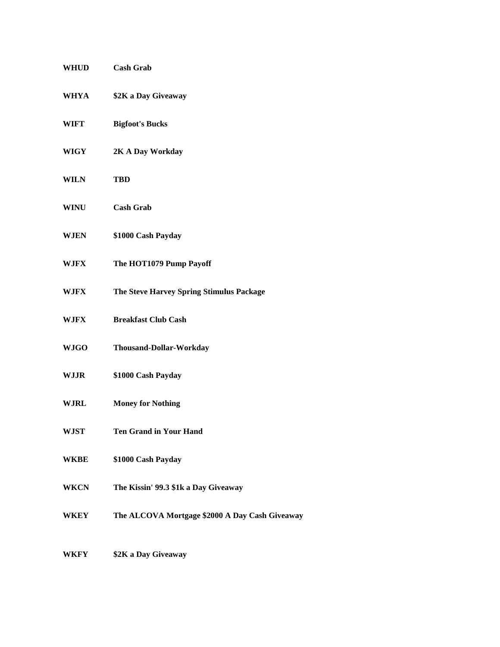| WHUD        | <b>Cash Grab</b>                               |
|-------------|------------------------------------------------|
| WHYA        | \$2K a Day Giveaway                            |
| WIFT        | <b>Bigfoot's Bucks</b>                         |
| WIGY        | 2K A Day Workday                               |
| <b>WILN</b> | <b>TBD</b>                                     |
| WINU        | <b>Cash Grab</b>                               |
| WJEN        | \$1000 Cash Payday                             |
| WJFX        | The HOT1079 Pump Payoff                        |
| WJFX        | The Steve Harvey Spring Stimulus Package       |
| WJFX        | <b>Breakfast Club Cash</b>                     |
| <b>WJGO</b> | Thousand-Dollar-Workday                        |
| WJJR        | \$1000 Cash Payday                             |
| WJRL        | <b>Money for Nothing</b>                       |
| WJST        | <b>Ten Grand in Your Hand</b>                  |
| WKBE        | \$1000 Cash Payday                             |
| WKCN        | The Kissin' 99.3 \$1k a Day Giveaway           |
| WKEY        | The ALCOVA Mortgage \$2000 A Day Cash Giveaway |
|             |                                                |

**WKFY \$2K a Day Giveaway**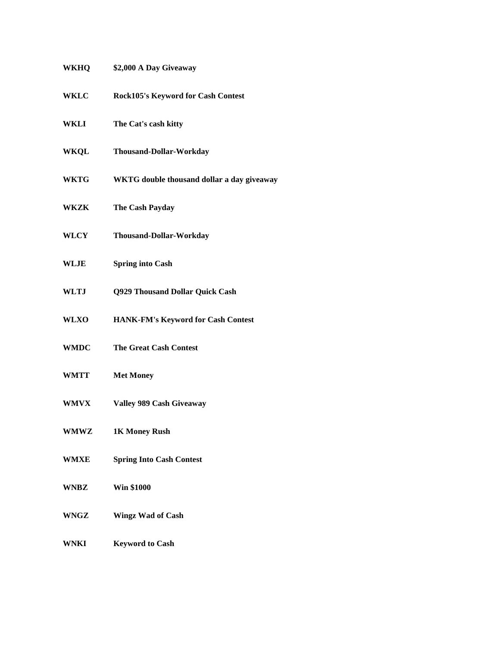| <b>WKHQ</b> | \$2,000 A Day Giveaway                     |
|-------------|--------------------------------------------|
| <b>WKLC</b> | Rock105's Keyword for Cash Contest         |
| WKLI        | The Cat's cash kitty                       |
| WKQL        | <b>Thousand-Dollar-Workday</b>             |
| <b>WKTG</b> | WKTG double thousand dollar a day giveaway |
| WKZK        | The Cash Payday                            |
| <b>WLCY</b> | <b>Thousand-Dollar-Workday</b>             |
| WLJE        | <b>Spring into Cash</b>                    |
| <b>WLTJ</b> | Q929 Thousand Dollar Quick Cash            |
| <b>WLXO</b> | HANK-FM's Keyword for Cash Contest         |
| <b>WMDC</b> | <b>The Great Cash Contest</b>              |
| <b>WMTT</b> | <b>Met Money</b>                           |
| <b>WMVX</b> | <b>Valley 989 Cash Giveaway</b>            |
| WMWZ        | 1K Money Rush                              |
| <b>WMXE</b> | <b>Spring Into Cash Contest</b>            |
| WNBZ        | <b>Win \$1000</b>                          |
| WNGZ        | <b>Wingz Wad of Cash</b>                   |
| <b>WNKI</b> | <b>Keyword to Cash</b>                     |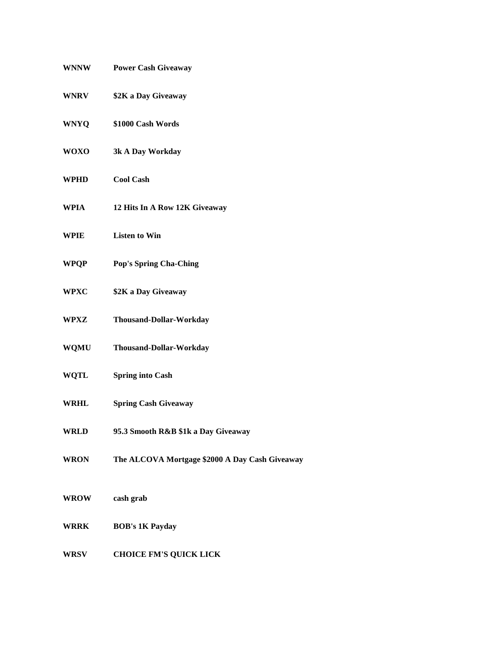| <b>WNNW</b> | <b>Power Cash Giveaway</b>                     |
|-------------|------------------------------------------------|
| <b>WNRV</b> | \$2K a Day Giveaway                            |
| <b>WNYQ</b> | \$1000 Cash Words                              |
| <b>WOXO</b> | 3k A Day Workday                               |
| WPHD        | <b>Cool Cash</b>                               |
| WPIA        | 12 Hits In A Row 12K Giveaway                  |
| <b>WPIE</b> | <b>Listen to Win</b>                           |
| <b>WPQP</b> | <b>Pop's Spring Cha-Ching</b>                  |
| <b>WPXC</b> | \$2K a Day Giveaway                            |
| WPXZ        | <b>Thousand-Dollar-Workday</b>                 |
| <b>WQMU</b> | Thousand-Dollar-Workday                        |
| WQTL        | <b>Spring into Cash</b>                        |
| <b>WRHL</b> | <b>Spring Cash Giveaway</b>                    |
| <b>WRLD</b> | 95.3 Smooth R&B \$1k a Day Giveaway            |
| <b>WRON</b> | The ALCOVA Mortgage \$2000 A Day Cash Giveaway |
| <b>WROW</b> | cash grab                                      |
| <b>WRRK</b> | <b>BOB's 1K Payday</b>                         |
| <b>WRSV</b> | <b>CHOICE FM'S QUICK LICK</b>                  |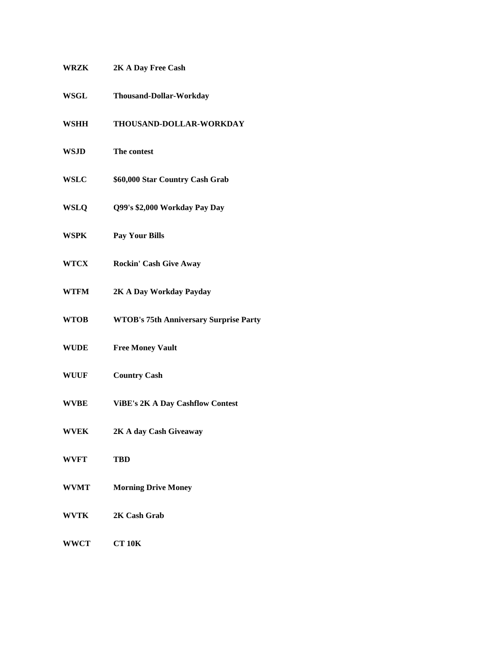| WRZK        | 2K A Day Free Cash                            |
|-------------|-----------------------------------------------|
| <b>WSGL</b> | Thousand-Dollar-Workday                       |
| <b>WSHH</b> | THOUSAND-DOLLAR-WORKDAY                       |
| <b>WSJD</b> | The contest                                   |
| <b>WSLC</b> | \$60,000 Star Country Cash Grab               |
| <b>WSLQ</b> | Q99's \$2,000 Workday Pay Day                 |
| WSPK        | <b>Pay Your Bills</b>                         |
| <b>WTCX</b> | <b>Rockin' Cash Give Away</b>                 |
| <b>WTFM</b> | 2K A Day Workday Payday                       |
| <b>WTOB</b> | <b>WTOB's 75th Anniversary Surprise Party</b> |
| <b>WUDE</b> | <b>Free Money Vault</b>                       |
| <b>WUUF</b> | <b>Country Cash</b>                           |
| <b>WVBE</b> | <b>ViBE's 2K A Day Cashflow Contest</b>       |
| <b>WVEK</b> | 2K A day Cash Giveaway                        |
| <b>WVFT</b> | <b>TBD</b>                                    |
| <b>WVMT</b> | <b>Morning Drive Money</b>                    |
| WVTK        | 2K Cash Grab                                  |
| <b>WWCT</b> | <b>CT 10K</b>                                 |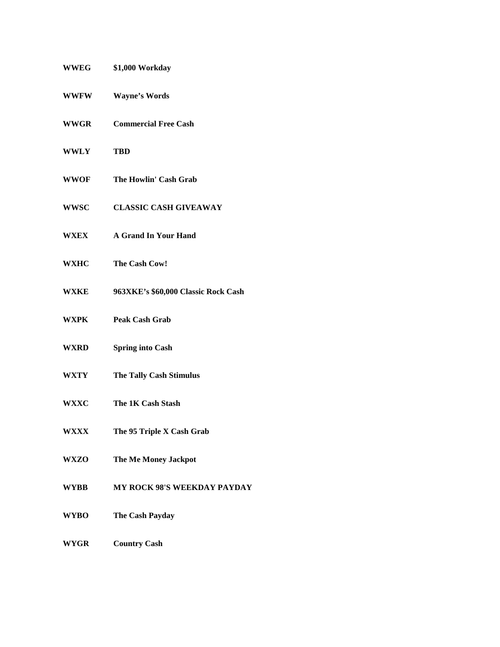| <b>WWEG</b> | \$1,000 Workday                     |
|-------------|-------------------------------------|
| <b>WWFW</b> | <b>Wayne's Words</b>                |
| <b>WWGR</b> | <b>Commercial Free Cash</b>         |
| <b>WWLY</b> | <b>TBD</b>                          |
| <b>WWOF</b> | The Howlin' Cash Grab               |
| <b>WWSC</b> | <b>CLASSIC CASH GIVEAWAY</b>        |
| <b>WXEX</b> | <b>A Grand In Your Hand</b>         |
| <b>WXHC</b> | The Cash Cow!                       |
| WXKE        | 963XKE's \$60,000 Classic Rock Cash |
| WXPK        | <b>Peak Cash Grab</b>               |
| WXRD        | <b>Spring into Cash</b>             |
| WXTY        | <b>The Tally Cash Stimulus</b>      |
| <b>WXXC</b> | The 1K Cash Stash                   |
| WXXX        | The 95 Triple X Cash Grab           |
| WXZO        | The Me Money Jackpot                |
| <b>WYBB</b> | <b>MY ROCK 98'S WEEKDAY PAYDAY</b>  |
| <b>WYBO</b> | The Cash Payday                     |
| <b>WYGR</b> | <b>Country Cash</b>                 |